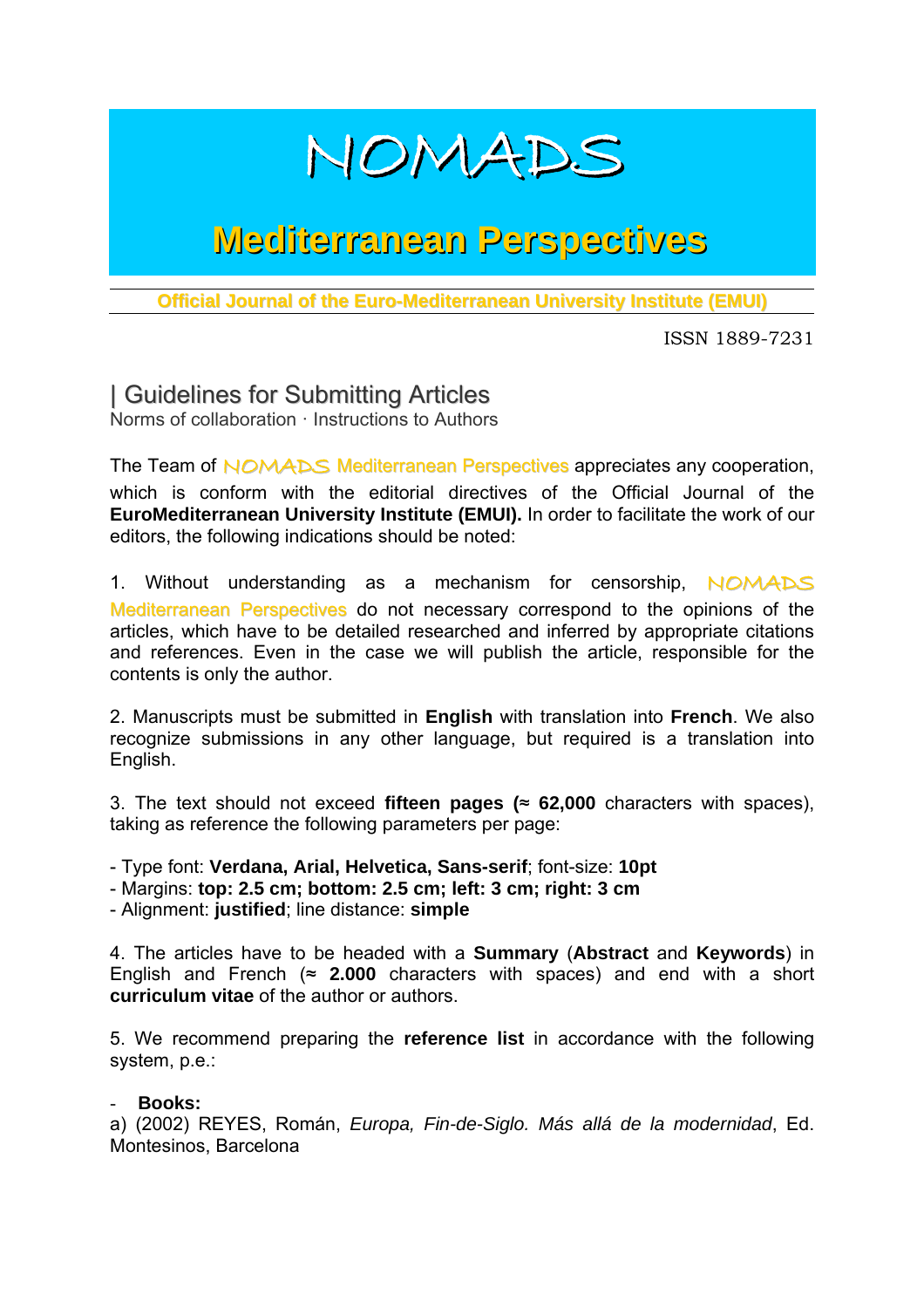

## **Mediterranean Perspectives**

**Official Journal of the Euro-Mediterranean University Institute (EMUI)**

ISSN 1889-7231

| Guidelines for Submitting Articles Norms of collaboration · Instructions to Authors

The Team of NOMADS Mediterranean Perspectives appreciates any cooperation, which is conform with the editorial directives of the Official Journal of the **EuroMediterranean University Institute (EMUI).** In order to facilitate the work of our editors, the following indications should be noted:

1. Without understanding as a mechanism for censorship, NOMADS Mediterranean Perspectives do not necessary correspond to the opinions of the articles, which have to be detailed researched and inferred by appropriate citations and references. Even in the case we will publish the article, responsible for the contents is only the author.

2. Manuscripts must be submitted in **English** with translation into **French**. We also recognize submissions in any other language, but required is a translation into English.

3. The text should not exceed **fifteen pages (**≈ **62,000** characters with spaces), taking as reference the following parameters per page:

- Type font: **Verdana, Arial, Helvetica, Sans-serif**; font-size: **10pt** 

- Margins: **top: 2.5 cm; bottom: 2.5 cm; left: 3 cm; right: 3 cm** 

- Alignment: **justified**; line distance: **simple**

4. The articles have to be headed with a **Summary** (**Abstract** and **Keywords**) in English and French  $\approx$  2.000 characters with spaces) and end with a short **curriculum vitae** of the author or authors.

5. We recommend preparing the **reference list** in accordance with the following system, p.e.:

## - **Books:**

a) (2002) REYES, Román, *Europa, Fin-de-Siglo. Más allá de la modernidad*, Ed. Montesinos, Barcelona